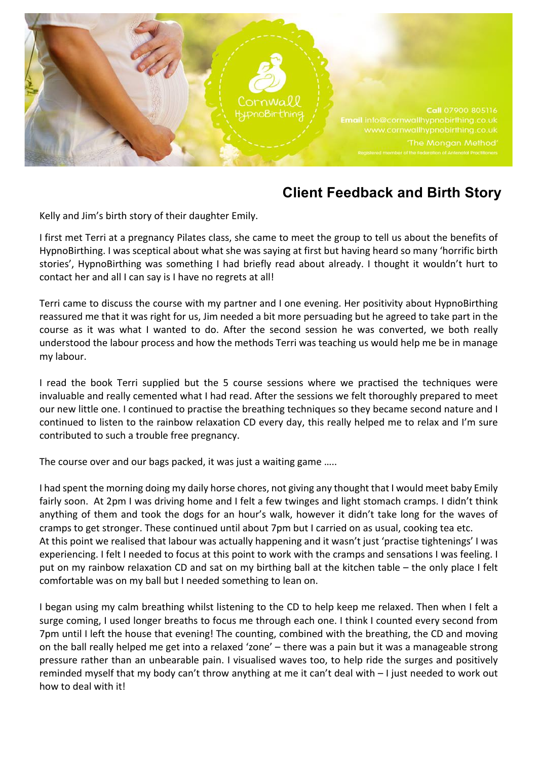

## **Client Feedback and Birth Story**

Kelly and Jim's birth story of their daughter Emily.

I first met Terri at a pregnancy Pilates class, she came to meet the group to tell us about the benefits of HypnoBirthing. I was sceptical about what she was saying at first but having heard so many 'horrific birth stories', HypnoBirthing was something I had briefly read about already. I thought it wouldn't hurt to contact her and all I can say is I have no regrets at all!

Terri came to discuss the course with my partner and I one evening. Her positivity about HypnoBirthing reassured me that it was right for us, Jim needed a bit more persuading but he agreed to take part in the course as it was what I wanted to do. After the second session he was converted, we both really understood the labour process and how the methods Terri was teaching us would help me be in manage my labour.

I read the book Terri supplied but the 5 course sessions where we practised the techniques were invaluable and really cemented what I had read. After the sessions we felt thoroughly prepared to meet our new little one. I continued to practise the breathing techniques so they became second nature and I continued to listen to the rainbow relaxation CD every day, this really helped me to relax and I'm sure contributed to such a trouble free pregnancy.

The course over and our bags packed, it was just a waiting game .....

I had spent the morning doing my daily horse chores, not giving any thought that I would meet baby Emily fairly soon. At 2pm I was driving home and I felt a few twinges and light stomach cramps. I didn't think anything of them and took the dogs for an hour's walk, however it didn't take long for the waves of cramps to get stronger. These continued until about 7pm but I carried on as usual, cooking tea etc. At this point we realised that labour was actually happening and it wasn't just 'practise tightenings' I was experiencing. I felt I needed to focus at this point to work with the cramps and sensations I was feeling. I put on my rainbow relaxation CD and sat on my birthing ball at the kitchen table – the only place I felt comfortable was on my ball but I needed something to lean on.

I began using my calm breathing whilst listening to the CD to help keep me relaxed. Then when I felt a surge coming, I used longer breaths to focus me through each one. I think I counted every second from 7pm until I left the house that evening! The counting, combined with the breathing, the CD and moving on the ball really helped me get into a relaxed 'zone' - there was a pain but it was a manageable strong pressure rather than an unbearable pain. I visualised waves too, to help ride the surges and positively reminded myself that my body can't throw anything at me it can't deal with - I just needed to work out how to deal with it!